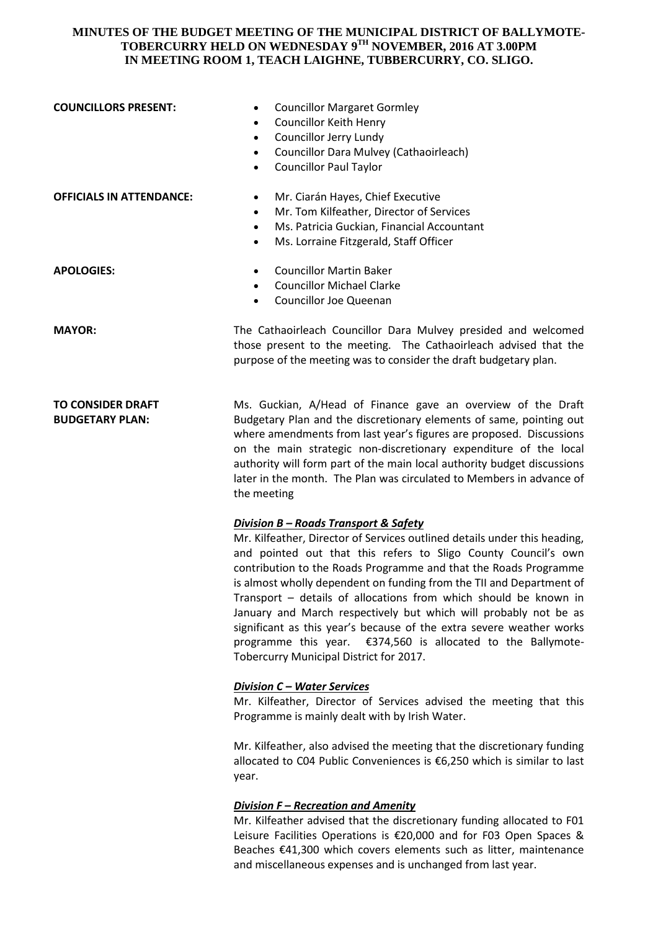## **MINUTES OF THE BUDGET MEETING OF THE MUNICIPAL DISTRICT OF BALLYMOTE-TOBERCURRY HELD ON WEDNESDAY 9TH NOVEMBER, 2016 AT 3.00PM IN MEETING ROOM 1, TEACH LAIGHNE, TUBBERCURRY, CO. SLIGO.**

| <b>COUNCILLORS PRESENT:</b>                        | <b>Councillor Margaret Gormley</b><br>$\bullet$<br><b>Councillor Keith Henry</b><br>$\bullet$<br>Councillor Jerry Lundy<br>$\bullet$<br>Councillor Dara Mulvey (Cathaoirleach)<br>$\bullet$<br><b>Councillor Paul Taylor</b><br>$\bullet$                                                                                                                                                                                                                                                                                                                                                                                                                   |
|----------------------------------------------------|-------------------------------------------------------------------------------------------------------------------------------------------------------------------------------------------------------------------------------------------------------------------------------------------------------------------------------------------------------------------------------------------------------------------------------------------------------------------------------------------------------------------------------------------------------------------------------------------------------------------------------------------------------------|
| <b>OFFICIALS IN ATTENDANCE:</b>                    | Mr. Ciarán Hayes, Chief Executive<br>$\bullet$<br>Mr. Tom Kilfeather, Director of Services<br>$\bullet$<br>Ms. Patricia Guckian, Financial Accountant<br>$\bullet$<br>Ms. Lorraine Fitzgerald, Staff Officer<br>$\bullet$                                                                                                                                                                                                                                                                                                                                                                                                                                   |
| <b>APOLOGIES:</b>                                  | <b>Councillor Martin Baker</b><br>$\bullet$<br><b>Councillor Michael Clarke</b><br>$\bullet$<br><b>Councillor Joe Queenan</b><br>$\bullet$                                                                                                                                                                                                                                                                                                                                                                                                                                                                                                                  |
| <b>MAYOR:</b>                                      | The Cathaoirleach Councillor Dara Mulvey presided and welcomed<br>those present to the meeting. The Cathaoirleach advised that the<br>purpose of the meeting was to consider the draft budgetary plan.                                                                                                                                                                                                                                                                                                                                                                                                                                                      |
| <b>TO CONSIDER DRAFT</b><br><b>BUDGETARY PLAN:</b> | Ms. Guckian, A/Head of Finance gave an overview of the Draft<br>Budgetary Plan and the discretionary elements of same, pointing out<br>where amendments from last year's figures are proposed. Discussions<br>on the main strategic non-discretionary expenditure of the local<br>authority will form part of the main local authority budget discussions<br>later in the month. The Plan was circulated to Members in advance of<br>the meeting                                                                                                                                                                                                            |
|                                                    | Division B - Roads Transport & Safety<br>Mr. Kilfeather, Director of Services outlined details under this heading,<br>and pointed out that this refers to Sligo County Council's own<br>contribution to the Roads Programme and that the Roads Programme<br>is almost wholly dependent on funding from the TII and Department of<br>Transport - details of allocations from which should be known in<br>January and March respectively but which will probably not be as<br>significant as this year's because of the extra severe weather works<br>programme this year. €374,560 is allocated to the Ballymote-<br>Tobercurry Municipal District for 2017. |
|                                                    | <b>Division C - Water Services</b><br>Mr. Kilfeather, Director of Services advised the meeting that this<br>Programme is mainly dealt with by Irish Water.                                                                                                                                                                                                                                                                                                                                                                                                                                                                                                  |
|                                                    | Mr. Kilfeather, also advised the meeting that the discretionary funding<br>allocated to C04 Public Conveniences is €6,250 which is similar to last<br>year.                                                                                                                                                                                                                                                                                                                                                                                                                                                                                                 |
|                                                    | <b>Division F - Recreation and Amenity</b><br>Mr. Kilfeather advised that the discretionary funding allocated to F01                                                                                                                                                                                                                                                                                                                                                                                                                                                                                                                                        |

Leisure Facilities Operations is €20,000 and for F03 Open Spaces & Beaches €41,300 which covers elements such as litter, maintenance and miscellaneous expenses and is unchanged from last year.